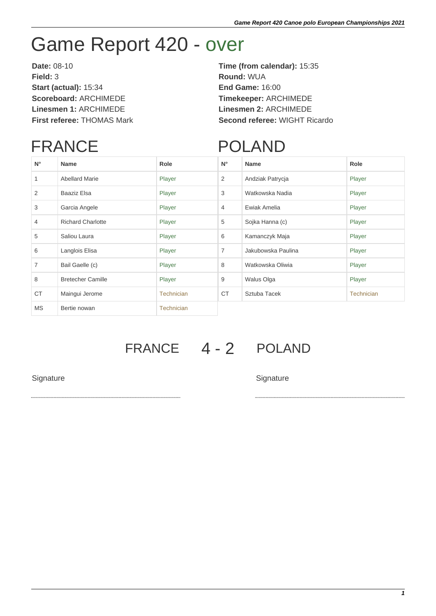## Game Report 420 - over

**Date:** 08-10 **Time (from calendar):** 15:35 **Field:** 3 **Round:** WUA **Start (actual):** 15:34 **End Game:** 16:00 **Scoreboard:** ARCHIMEDE **Timekeeper:** ARCHIMEDE **Linesmen 1:** ARCHIMEDE **Linesmen 2:** ARCHIMEDE

# **First referee:** THOMAS Mark **Second referee:** WIGHT Ricardo

### FRANCE

#### POLAND

| $N^{\circ}$    | <b>Name</b>              | Role              | $N^{\circ}$    | <b>Name</b>        | Role              |
|----------------|--------------------------|-------------------|----------------|--------------------|-------------------|
| 1              | <b>Abellard Marie</b>    | Player            | 2              | Andziak Patrycja   | Player            |
| 2              | Baaziz Elsa              | Player            | 3              | Watkowska Nadia    | Player            |
| 3              | Garcia Angele            | Player            | $\overline{4}$ | Ewiak Amelia       | Player            |
| 4              | <b>Richard Charlotte</b> | Player            | 5              | Sojka Hanna (c)    | Player            |
| 5              | Saliou Laura             | Player            | 6              | Kamanczyk Maja     | Player            |
| 6              | Langlois Elisa           | Player            | 7              | Jakubowska Paulina | Player            |
| $\overline{7}$ | Bail Gaelle (c)          | Player            | 8              | Watkowska Oliwia   | Player            |
| 8              | <b>Bretecher Camille</b> | Player            | 9              | Walus Olga         | Player            |
| <b>CT</b>      | Maingui Jerome           | <b>Technician</b> | <b>CT</b>      | Sztuba Tacek       | <b>Technician</b> |
| <b>MS</b>      | Bertie nowan             | <b>Technician</b> |                |                    |                   |
|                |                          |                   |                |                    |                   |

### FRANCE 4 - 2 POLAND

Signature Signature Signature Signature Signature Signature Signature Signature